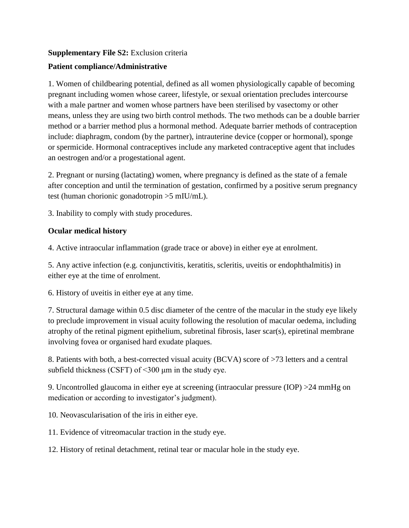## **Supplementary File S2:** Exclusion criteria

# **Patient compliance/Administrative**

1. Women of childbearing potential, defined as all women physiologically capable of becoming pregnant including women whose career, lifestyle, or sexual orientation precludes intercourse with a male partner and women whose partners have been sterilised by vasectomy or other means, unless they are using two birth control methods. The two methods can be a double barrier method or a barrier method plus a hormonal method. Adequate barrier methods of contraception include: diaphragm, condom (by the partner), intrauterine device (copper or hormonal), sponge or spermicide. Hormonal contraceptives include any marketed contraceptive agent that includes an oestrogen and/or a progestational agent.

2. Pregnant or nursing (lactating) women, where pregnancy is defined as the state of a female after conception and until the termination of gestation, confirmed by a positive serum pregnancy test (human chorionic gonadotropin >5 mIU/mL).

3. Inability to comply with study procedures.

# **Ocular medical history**

4. Active intraocular inflammation (grade trace or above) in either eye at enrolment.

5. Any active infection (e.g. conjunctivitis, keratitis, scleritis, uveitis or endophthalmitis) in either eye at the time of enrolment.

6. History of uveitis in either eye at any time.

7. Structural damage within 0.5 disc diameter of the centre of the macular in the study eye likely to preclude improvement in visual acuity following the resolution of macular oedema, including atrophy of the retinal pigment epithelium, subretinal fibrosis, laser scar(s), epiretinal membrane involving fovea or organised hard exudate plaques.

8. Patients with both, a best-corrected visual acuity (BCVA) score of >73 letters and a central subfield thickness (CSFT) of  $\leq$ 300  $\mu$ m in the study eye.

9. Uncontrolled glaucoma in either eye at screening (intraocular pressure (IOP) >24 mmHg on medication or according to investigator's judgment).

10. Neovascularisation of the iris in either eye.

11. Evidence of vitreomacular traction in the study eye.

12. History of retinal detachment, retinal tear or macular hole in the study eye.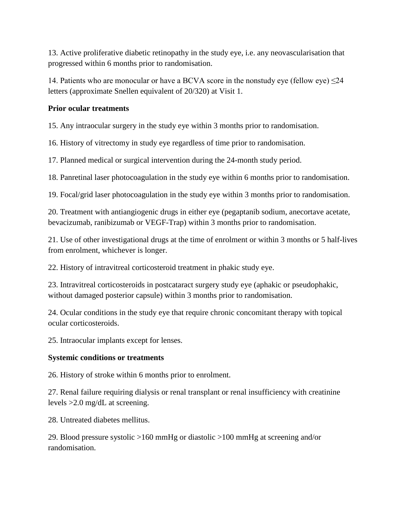13. Active proliferative diabetic retinopathy in the study eye, i.e. any neovascularisation that progressed within 6 months prior to randomisation.

14. Patients who are monocular or have a BCVA score in the nonstudy eye (fellow eye)  $\leq$ 24 letters (approximate Snellen equivalent of 20/320) at Visit 1.

## **Prior ocular treatments**

15. Any intraocular surgery in the study eye within 3 months prior to randomisation.

16. History of vitrectomy in study eye regardless of time prior to randomisation.

17. Planned medical or surgical intervention during the 24-month study period.

18. Panretinal laser photocoagulation in the study eye within 6 months prior to randomisation.

19. Focal/grid laser photocoagulation in the study eye within 3 months prior to randomisation.

20. Treatment with antiangiogenic drugs in either eye (pegaptanib sodium, anecortave acetate, bevacizumab, ranibizumab or VEGF-Trap) within 3 months prior to randomisation.

21. Use of other investigational drugs at the time of enrolment or within 3 months or 5 half-lives from enrolment, whichever is longer.

22. History of intravitreal corticosteroid treatment in phakic study eye.

23. Intravitreal corticosteroids in postcataract surgery study eye (aphakic or pseudophakic, without damaged posterior capsule) within 3 months prior to randomisation.

24. Ocular conditions in the study eye that require chronic concomitant therapy with topical ocular corticosteroids.

25. Intraocular implants except for lenses.

#### **Systemic conditions or treatments**

26. History of stroke within 6 months prior to enrolment.

27. Renal failure requiring dialysis or renal transplant or renal insufficiency with creatinine levels >2.0 mg/dL at screening.

28. Untreated diabetes mellitus.

29. Blood pressure systolic >160 mmHg or diastolic >100 mmHg at screening and/or randomisation.